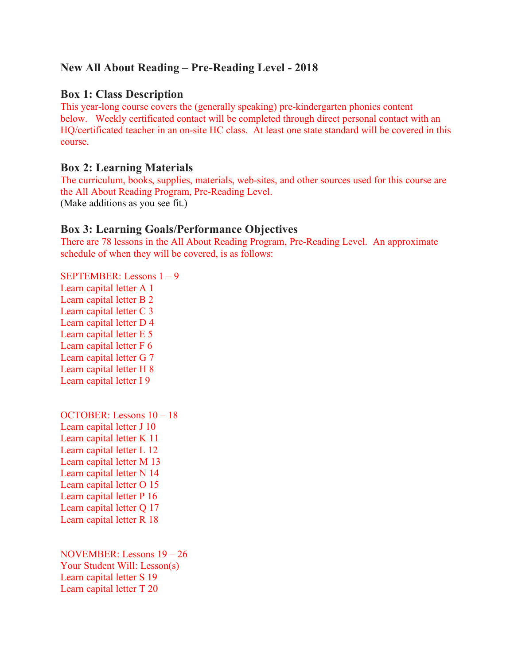# **New All About Reading – Pre-Reading Level - 2018**

### **Box 1: Class Description**

This year-long course covers the (generally speaking) pre-kindergarten phonics content below. Weekly certificated contact will be completed through direct personal contact with an HQ/certificated teacher in an on-site HC class. At least one state standard will be covered in this course.

### **Box 2: Learning Materials**

The curriculum, books, supplies, materials, web-sites, and other sources used for this course are the All About Reading Program, Pre-Reading Level. (Make additions as you see fit.)

### **Box 3: Learning Goals/Performance Objectives**

There are 78 lessons in the All About Reading Program, Pre-Reading Level. An approximate schedule of when they will be covered, is as follows:

SEPTEMBER: Lessons 1 – 9 Learn capital letter A 1 Learn capital letter B 2 Learn capital letter C 3 Learn capital letter D 4 Learn capital letter E 5 Learn capital letter F 6 Learn capital letter G 7 Learn capital letter H 8 Learn capital letter I 9

OCTOBER: Lessons 10 – 18 Learn capital letter J 10 Learn capital letter K 11 Learn capital letter L 12 Learn capital letter M 13 Learn capital letter N 14 Learn capital letter O 15 Learn capital letter P 16 Learn capital letter Q 17 Learn capital letter R 18

NOVEMBER: Lessons 19 – 26 Your Student Will: Lesson(s) Learn capital letter S 19 Learn capital letter T 20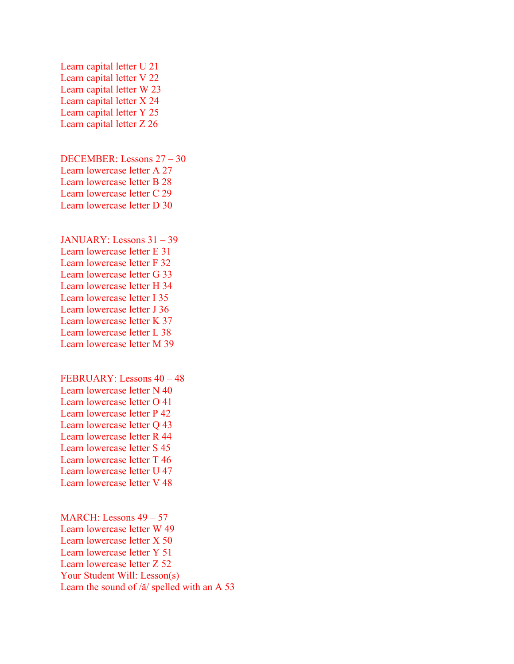Learn capital letter U 21 Learn capital letter V 22 Learn capital letter W 23 Learn capital letter X 24 Learn capital letter Y 25 Learn capital letter Z 26

DECEMBER: Lessons 27 – 30 Learn lowercase letter A 27 Learn lowercase letter B 28 Learn lowercase letter C 29 Learn lowercase letter D 30

JANUARY: Lessons 31 – 39 Learn lowercase letter E 31 Learn lowercase letter F 32 Learn lowercase letter G 33 Learn lowercase letter H 34 Learn lowercase letter I 35 Learn lowercase letter J 36 Learn lowercase letter K 37 Learn lowercase letter L 38 Learn lowercase letter M 39

FEBRUARY: Lessons 40 – 48 Learn lowercase letter N 40 Learn lowercase letter O 41 Learn lowercase letter P 42 Learn lowercase letter Q 43 Learn lowercase letter R 44 Learn lowercase letter S 45 Learn lowercase letter T 46 Learn lowercase letter U 47 Learn lowercase letter V 48

MARCH: Lessons 49 – 57 Learn lowercase letter W 49 Learn lowercase letter X 50 Learn lowercase letter Y 51 Learn lowercase letter Z 52 Your Student Will: Lesson(s) Learn the sound of /ă/ spelled with an A 53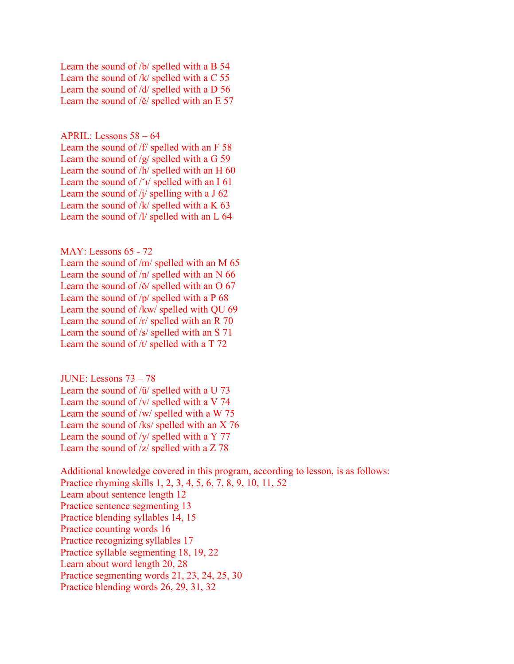Learn the sound of /b/ spelled with a B 54 Learn the sound of /k/ spelled with a C 55 Learn the sound of /d/ spelled with a D 56 Learn the sound of /ĕ/ spelled with an E 57

APRIL: Lessons 58 – 64

Learn the sound of /f/ spelled with an F 58 Learn the sound of /g/ spelled with a G 59 Learn the sound of /h/ spelled with an H 60 Learn the sound of  $\frac{r_1}{s_2}$  spelled with an I 61 Learn the sound of  $\frac{1}{4}$  spelling with a J 62 Learn the sound of  $/k$  spelled with a K 63 Learn the sound of /l/ spelled with an L 64

MAY: Lessons 65 - 72

Learn the sound of /m/ spelled with an M 65 Learn the sound of /n/ spelled with an N 66 Learn the sound of /ŏ/ spelled with an O 67 Learn the sound of /p/ spelled with a P 68 Learn the sound of /kw/ spelled with QU 69 Learn the sound of /r/ spelled with an R 70 Learn the sound of /s/ spelled with an S 71 Learn the sound of /t/ spelled with a T 72

JUNE: Lessons 73 – 78 Learn the sound of /ŭ/ spelled with a U 73 Learn the sound of /v/ spelled with a V 74 Learn the sound of /w/ spelled with a W 75 Learn the sound of /ks/ spelled with an X 76 Learn the sound of /y/ spelled with a Y 77 Learn the sound of /z/ spelled with a Z 78

Additional knowledge covered in this program, according to lesson, is as follows: Practice rhyming skills 1, 2, 3, 4, 5, 6, 7, 8, 9, 10, 11, 52 Learn about sentence length 12 Practice sentence segmenting 13 Practice blending syllables 14, 15 Practice counting words 16 Practice recognizing syllables 17 Practice syllable segmenting 18, 19, 22 Learn about word length 20, 28 Practice segmenting words 21, 23, 24, 25, 30 Practice blending words 26, 29, 31, 32